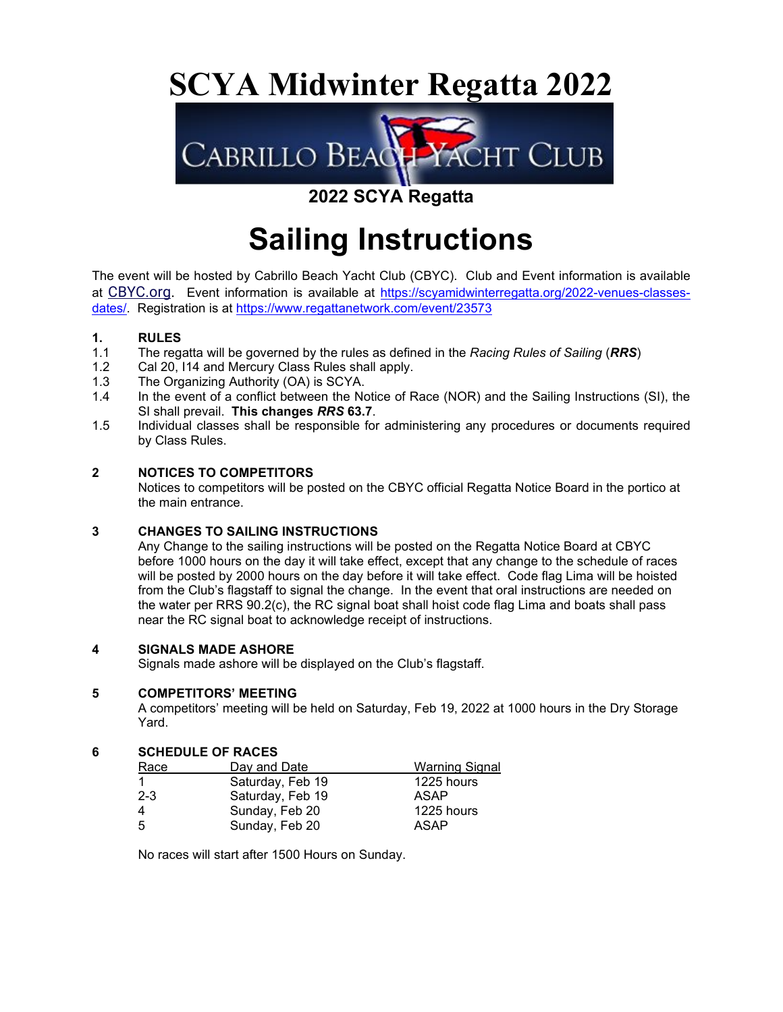# **SCYA Midwinter Regatta 2022**



### **2022 SCYA Regatta**

# **Sailing Instructions**

The event will be hosted by Cabrillo Beach Yacht Club (CBYC). Club and Event information is available at CBYC.org. Event information is available at https://scyamidwinterregatta.org/2022-venues-classesdates/. Registration is at https://www.regattanetwork.com/event/23573

### **1. RULES**<br>**1.1** The rega

- 1.1 The regatta will be governed by the rules as defined in the *Racing Rules of Sailing* (*RRS*)
- 1.2 Cal 20, I14 and Mercury Class Rules shall apply.
- 1.3 The Organizing Authority (OA) is SCYA.<br>1.4 In the event of a conflict between the No
- In the event of a conflict between the Notice of Race (NOR) and the Sailing Instructions (SI), the SI shall prevail. **This changes** *RRS* **63.7**.
- 1.5 Individual classes shall be responsible for administering any procedures or documents required by Class Rules.

#### **2 NOTICES TO COMPETITORS**

Notices to competitors will be posted on the CBYC official Regatta Notice Board in the portico at the main entrance.

#### **3 CHANGES TO SAILING INSTRUCTIONS**

Any Change to the sailing instructions will be posted on the Regatta Notice Board at CBYC before 1000 hours on the day it will take effect, except that any change to the schedule of races will be posted by 2000 hours on the day before it will take effect. Code flag Lima will be hoisted from the Club's flagstaff to signal the change. In the event that oral instructions are needed on the water per RRS 90.2(c), the RC signal boat shall hoist code flag Lima and boats shall pass near the RC signal boat to acknowledge receipt of instructions.

#### **4 SIGNALS MADE ASHORE**

Signals made ashore will be displayed on the Club's flagstaff.

#### **5 COMPETITORS' MEETING**

A competitors' meeting will be held on Saturday, Feb 19, 2022 at 1000 hours in the Dry Storage Yard.

#### **6 SCHEDULE OF RACES**

| Race    | Day and Date     | <b>Warning Signal</b> |
|---------|------------------|-----------------------|
|         | Saturday, Feb 19 | 1225 hours            |
| $2 - 3$ | Saturday, Feb 19 | ASAP                  |
| 4       | Sunday, Feb 20   | 1225 hours            |
| 5       | Sunday, Feb 20   | ASAP                  |

No races will start after 1500 Hours on Sunday.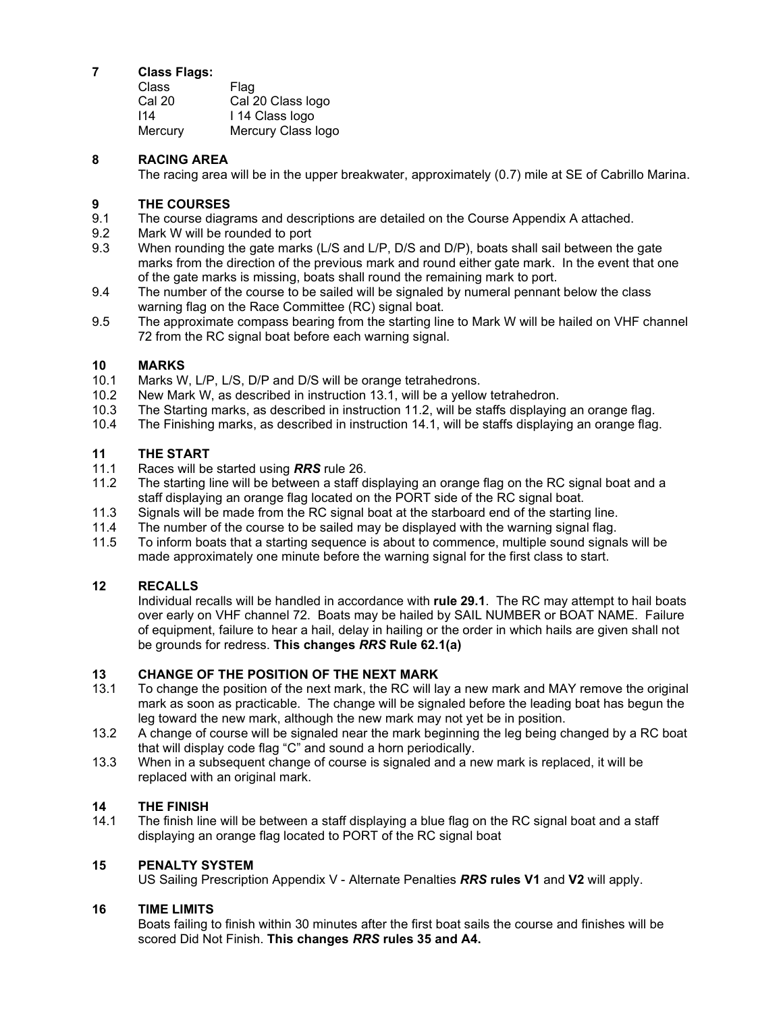#### **7 Class Flags:**

| Class   | Flag               |
|---------|--------------------|
| Cal 20  | Cal 20 Class logo  |
| 114     | I 14 Class logo    |
| Mercury | Mercury Class logo |

#### **8 RACING AREA**

The racing area will be in the upper breakwater, approximately (0.7) mile at SE of Cabrillo Marina.

#### **9 THE COURSES**

- 9.1 The course diagrams and descriptions are detailed on the Course Appendix A attached.
- 9.2 Mark W will be rounded to port
- 9.3 When rounding the gate marks (L/S and L/P, D/S and D/P), boats shall sail between the gate marks from the direction of the previous mark and round either gate mark. In the event that one of the gate marks is missing, boats shall round the remaining mark to port.
- 9.4 The number of the course to be sailed will be signaled by numeral pennant below the class warning flag on the Race Committee (RC) signal boat.
- 9.5 The approximate compass bearing from the starting line to Mark W will be hailed on VHF channel 72 from the RC signal boat before each warning signal.

## **10 MARKS**

- Marks W, L/P, L/S, D/P and D/S will be orange tetrahedrons.
- 10.2 New Mark W, as described in instruction 13.1, will be a yellow tetrahedron.
- 10.3 The Starting marks, as described in instruction 11.2, will be staffs displaying an orange flag.
- 10.4 The Finishing marks, as described in instruction 14.1, will be staffs displaying an orange flag.

#### **11 THE START**

- 11.1 Races will be started using *RRS* rule 26.
- 11.2 The starting line will be between a staff displaying an orange flag on the RC signal boat and a staff displaying an orange flag located on the PORT side of the RC signal boat.
- 11.3 Signals will be made from the RC signal boat at the starboard end of the starting line.
- 11.4 The number of the course to be sailed may be displayed with the warning signal flag.
- 11.5 To inform boats that a starting sequence is about to commence, multiple sound signals will be made approximately one minute before the warning signal for the first class to start.

#### **12 RECALLS**

 Individual recalls will be handled in accordance with **rule 29.1**. The RC may attempt to hail boats over early on VHF channel 72. Boats may be hailed by SAIL NUMBER or BOAT NAME. Failure of equipment, failure to hear a hail, delay in hailing or the order in which hails are given shall not be grounds for redress. **This changes** *RRS* **Rule 62.1(a)** 

#### **13 CHANGE OF THE POSITION OF THE NEXT MARK**

- 13.1 To change the position of the next mark, the RC will lay a new mark and MAY remove the original mark as soon as practicable. The change will be signaled before the leading boat has begun the leg toward the new mark, although the new mark may not yet be in position.
- 13.2 A change of course will be signaled near the mark beginning the leg being changed by a RC boat that will display code flag "C" and sound a horn periodically.
- 13.3 When in a subsequent change of course is signaled and a new mark is replaced, it will be replaced with an original mark.

### **14 THE FINISH**

The finish line will be between a staff displaying a blue flag on the RC signal boat and a staff displaying an orange flag located to PORT of the RC signal boat

#### **15 PENALTY SYSTEM**

US Sailing Prescription Appendix V - Alternate Penalties *RRS* **rules V1** and **V2** will apply.

#### **16 TIME LIMITS**

Boats failing to finish within 30 minutes after the first boat sails the course and finishes will be scored Did Not Finish. **This changes** *RRS* **rules 35 and A4.**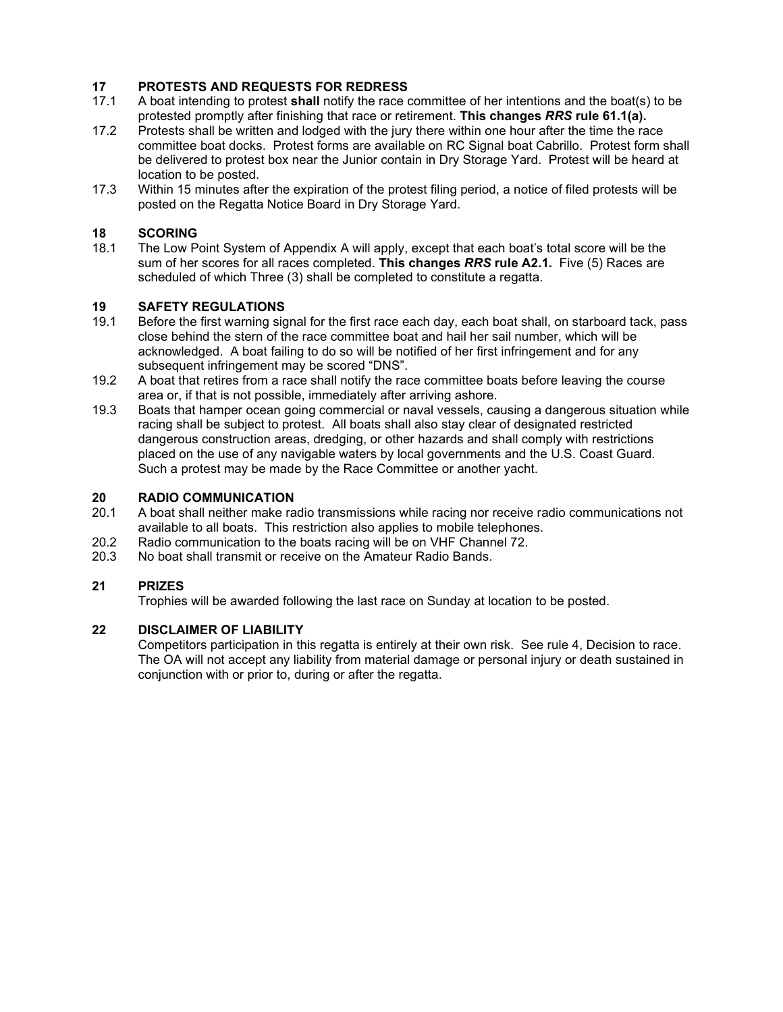## **17 PROTESTS AND REQUESTS FOR REDRESS**

- 17.1 A boat intending to protest **shall** notify the race committee of her intentions and the boat(s) to be protested promptly after finishing that race or retirement. **This changes** *RRS* **rule 61.1(a).**
- 17.2 Protests shall be written and lodged with the jury there within one hour after the time the race committee boat docks. Protest forms are available on RC Signal boat Cabrillo. Protest form shall be delivered to protest box near the Junior contain in Dry Storage Yard. Protest will be heard at location to be posted.
- 17.3 Within 15 minutes after the expiration of the protest filing period, a notice of filed protests will be posted on the Regatta Notice Board in Dry Storage Yard.

### **18 SCORING**<br>18.1 The Low P

The Low Point System of Appendix A will apply, except that each boat's total score will be the sum of her scores for all races completed. **This changes** *RRS* **rule A2.1.** Five (5) Races are scheduled of which Three (3) shall be completed to constitute a regatta.

### **19 SAFETY REGULATIONS**<br>**19.1** Before the first warning sig

- Before the first warning signal for the first race each day, each boat shall, on starboard tack, pass close behind the stern of the race committee boat and hail her sail number, which will be acknowledged. A boat failing to do so will be notified of her first infringement and for any subsequent infringement may be scored "DNS".
- 19.2 A boat that retires from a race shall notify the race committee boats before leaving the course area or, if that is not possible, immediately after arriving ashore.
- 19.3 Boats that hamper ocean going commercial or naval vessels, causing a dangerous situation while racing shall be subject to protest. All boats shall also stay clear of designated restricted dangerous construction areas, dredging, or other hazards and shall comply with restrictions placed on the use of any navigable waters by local governments and the U.S. Coast Guard. Such a protest may be made by the Race Committee or another yacht.

### **20 RADIO COMMUNICATION**<br>20.1 A boat shall neither make ra

- A boat shall neither make radio transmissions while racing nor receive radio communications not available to all boats. This restriction also applies to mobile telephones.
- 20.2 Radio communication to the boats racing will be on VHF Channel 72.
- 20.3 No boat shall transmit or receive on the Amateur Radio Bands.

#### **21 PRIZES**

Trophies will be awarded following the last race on Sunday at location to be posted.

#### **22 DISCLAIMER OF LIABILITY**

Competitors participation in this regatta is entirely at their own risk. See rule 4, Decision to race. The OA will not accept any liability from material damage or personal injury or death sustained in conjunction with or prior to, during or after the regatta.